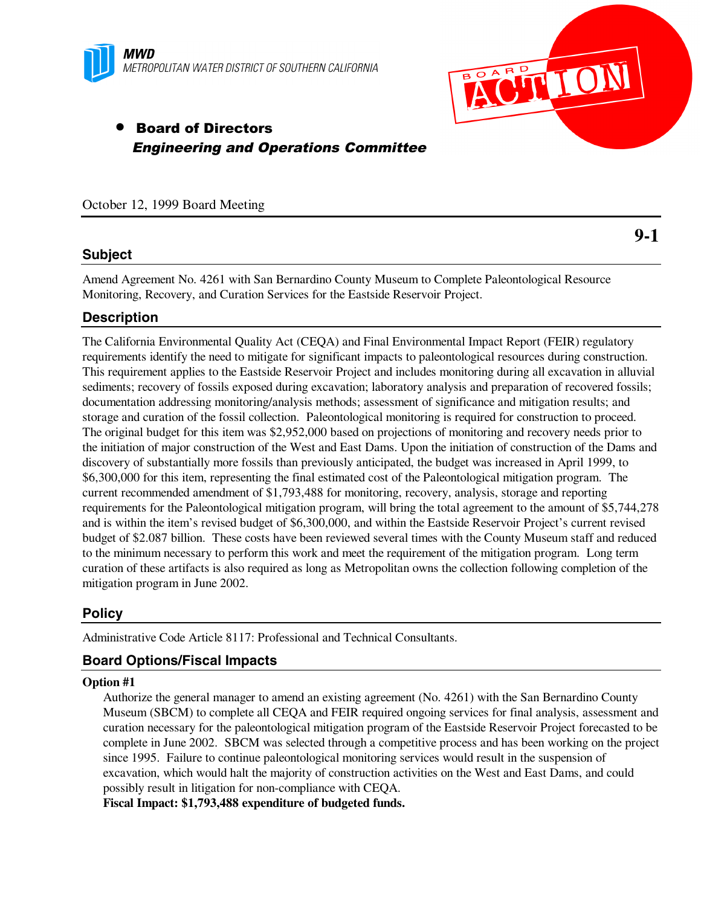



**9-1**

# • Board of Directors Engineering and Operations Committee

#### October 12, 1999 Board Meeting

# **Subject**

Amend Agreement No. 4261 with San Bernardino County Museum to Complete Paleontological Resource Monitoring, Recovery, and Curation Services for the Eastside Reservoir Project.

# **Description**

The California Environmental Quality Act (CEQA) and Final Environmental Impact Report (FEIR) regulatory requirements identify the need to mitigate for significant impacts to paleontological resources during construction. This requirement applies to the Eastside Reservoir Project and includes monitoring during all excavation in alluvial sediments; recovery of fossils exposed during excavation; laboratory analysis and preparation of recovered fossils; documentation addressing monitoring/analysis methods; assessment of significance and mitigation results; and storage and curation of the fossil collection. Paleontological monitoring is required for construction to proceed. The original budget for this item was \$2,952,000 based on projections of monitoring and recovery needs prior to the initiation of major construction of the West and East Dams. Upon the initiation of construction of the Dams and discovery of substantially more fossils than previously anticipated, the budget was increased in April 1999, to \$6,300,000 for this item, representing the final estimated cost of the Paleontological mitigation program. The current recommended amendment of \$1,793,488 for monitoring, recovery, analysis, storage and reporting requirements for the Paleontological mitigation program, will bring the total agreement to the amount of \$5,744,278 and is within the item's revised budget of \$6,300,000, and within the Eastside Reservoir Project's current revised budget of \$2.087 billion. These costs have been reviewed several times with the County Museum staff and reduced to the minimum necessary to perform this work and meet the requirement of the mitigation program. Long term curation of these artifacts is also required as long as Metropolitan owns the collection following completion of the mitigation program in June 2002.

### **Policy**

Administrative Code Article 8117: Professional and Technical Consultants.

# **Board Options/Fiscal Impacts**

#### **Option #1**

Authorize the general manager to amend an existing agreement (No. 4261) with the San Bernardino County Museum (SBCM) to complete all CEQA and FEIR required ongoing services for final analysis, assessment and curation necessary for the paleontological mitigation program of the Eastside Reservoir Project forecasted to be complete in June 2002. SBCM was selected through a competitive process and has been working on the project since 1995. Failure to continue paleontological monitoring services would result in the suspension of excavation, which would halt the majority of construction activities on the West and East Dams, and could possibly result in litigation for non-compliance with CEQA.

**Fiscal Impact: \$1,793,488 expenditure of budgeted funds.**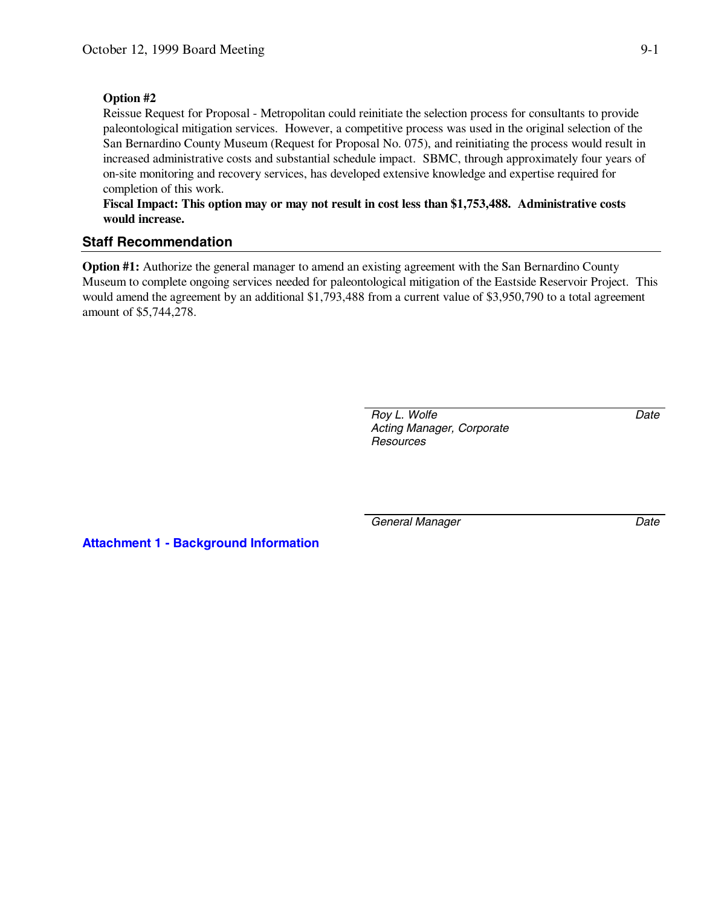#### **Option #2**

Reissue Request for Proposal - Metropolitan could reinitiate the selection process for consultants to provide paleontological mitigation services. However, a competitive process was used in the original selection of the San Bernardino County Museum (Request for Proposal No. 075), and reinitiating the process would result in increased administrative costs and substantial schedule impact. SBMC, through approximately four years of on-site monitoring and recovery services, has developed extensive knowledge and expertise required for completion of this work.

**Fiscal Impact: This option may or may not result in cost less than \$1,753,488. Administrative costs would increase.**

### **Staff Recommendation**

**Option #1:** Authorize the general manager to amend an existing agreement with the San Bernardino County Museum to complete ongoing services needed for paleontological mitigation of the Eastside Reservoir Project. This would amend the agreement by an additional \$1,793,488 from a current value of \$3,950,790 to a total agreement amount of \$5,744,278.

> *Roy L. Wolfe Acting Manager, Corporate Resources*

*Date*

**Attachment 1 - Background Information**

*General Manager Date*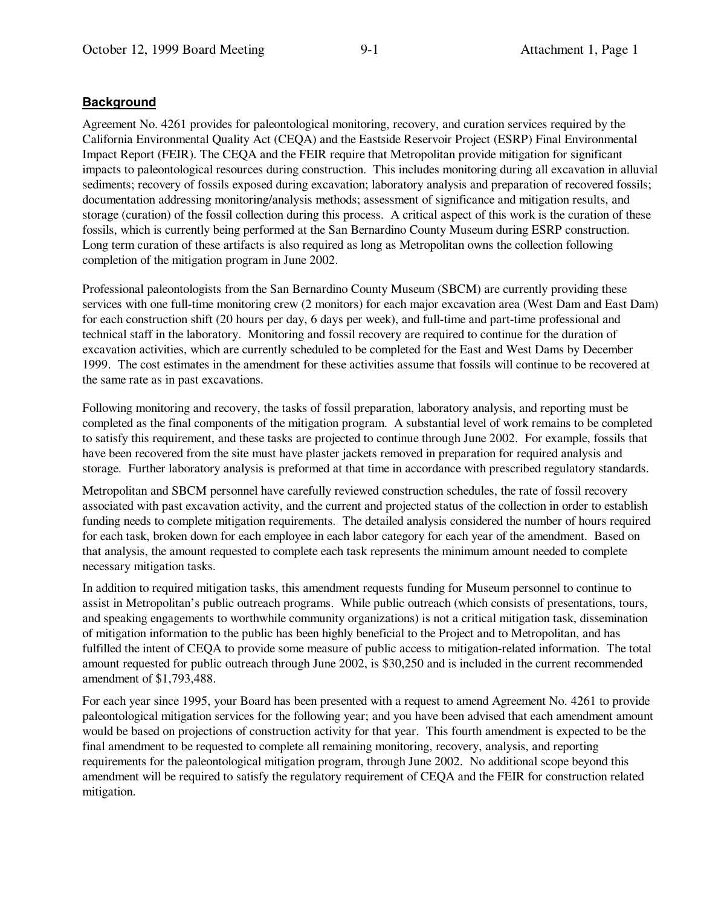### **Background**

Agreement No. 4261 provides for paleontological monitoring, recovery, and curation services required by the California Environmental Quality Act (CEQA) and the Eastside Reservoir Project (ESRP) Final Environmental Impact Report (FEIR). The CEQA and the FEIR require that Metropolitan provide mitigation for significant impacts to paleontological resources during construction. This includes monitoring during all excavation in alluvial sediments; recovery of fossils exposed during excavation; laboratory analysis and preparation of recovered fossils; documentation addressing monitoring/analysis methods; assessment of significance and mitigation results, and storage (curation) of the fossil collection during this process. A critical aspect of this work is the curation of these fossils, which is currently being performed at the San Bernardino County Museum during ESRP construction. Long term curation of these artifacts is also required as long as Metropolitan owns the collection following completion of the mitigation program in June 2002.

Professional paleontologists from the San Bernardino County Museum (SBCM) are currently providing these services with one full-time monitoring crew (2 monitors) for each major excavation area (West Dam and East Dam) for each construction shift (20 hours per day, 6 days per week), and full-time and part-time professional and technical staff in the laboratory. Monitoring and fossil recovery are required to continue for the duration of excavation activities, which are currently scheduled to be completed for the East and West Dams by December 1999. The cost estimates in the amendment for these activities assume that fossils will continue to be recovered at the same rate as in past excavations.

Following monitoring and recovery, the tasks of fossil preparation, laboratory analysis, and reporting must be completed as the final components of the mitigation program. A substantial level of work remains to be completed to satisfy this requirement, and these tasks are projected to continue through June 2002. For example, fossils that have been recovered from the site must have plaster jackets removed in preparation for required analysis and storage. Further laboratory analysis is preformed at that time in accordance with prescribed regulatory standards.

Metropolitan and SBCM personnel have carefully reviewed construction schedules, the rate of fossil recovery associated with past excavation activity, and the current and projected status of the collection in order to establish funding needs to complete mitigation requirements. The detailed analysis considered the number of hours required for each task, broken down for each employee in each labor category for each year of the amendment. Based on that analysis, the amount requested to complete each task represents the minimum amount needed to complete necessary mitigation tasks.

In addition to required mitigation tasks, this amendment requests funding for Museum personnel to continue to assist in Metropolitan's public outreach programs. While public outreach (which consists of presentations, tours, and speaking engagements to worthwhile community organizations) is not a critical mitigation task, dissemination of mitigation information to the public has been highly beneficial to the Project and to Metropolitan, and has fulfilled the intent of CEQA to provide some measure of public access to mitigation-related information. The total amount requested for public outreach through June 2002, is \$30,250 and is included in the current recommended amendment of \$1,793,488.

For each year since 1995, your Board has been presented with a request to amend Agreement No. 4261 to provide paleontological mitigation services for the following year; and you have been advised that each amendment amount would be based on projections of construction activity for that year. This fourth amendment is expected to be the final amendment to be requested to complete all remaining monitoring, recovery, analysis, and reporting requirements for the paleontological mitigation program, through June 2002. No additional scope beyond this amendment will be required to satisfy the regulatory requirement of CEQA and the FEIR for construction related mitigation.